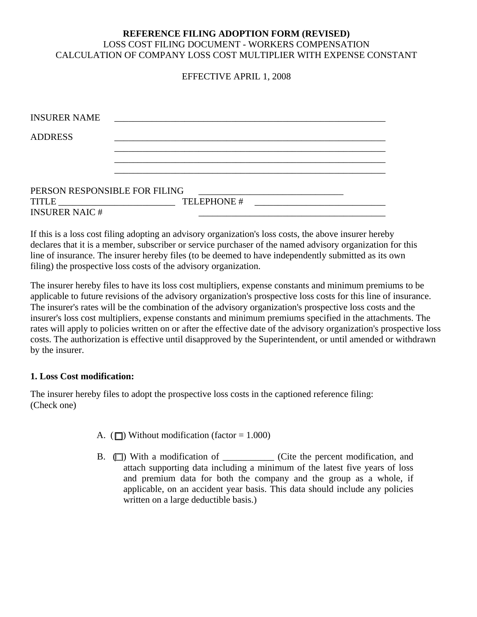# **REFERENCE FILING ADOPTION FORM (REVISED)**  LOSS COST FILING DOCUMENT - WORKERS COMPENSATION CALCULATION OF COMPANY LOSS COST MULTIPLIER WITH EXPENSE CONSTANT

# EFFECTIVE APRIL 1, 2008

| <b>INSURER NAME</b>                                           |             |  |
|---------------------------------------------------------------|-------------|--|
| <b>ADDRESS</b>                                                |             |  |
|                                                               |             |  |
|                                                               |             |  |
| PERSON RESPONSIBLE FOR FILING                                 |             |  |
| $\text{TIME} \begin{tabular}{c} \textbf{117LE} \end{tabular}$ | TELEPHONE # |  |
| <b>INSURER NAIC#</b>                                          |             |  |

If this is a loss cost filing adopting an advisory organization's loss costs, the above insurer hereby declares that it is a member, subscriber or service purchaser of the named advisory organization for this line of insurance. The insurer hereby files (to be deemed to have independently submitted as its own filing) the prospective loss costs of the advisory organization.

The insurer hereby files to have its loss cost multipliers, expense constants and minimum premiums to be applicable to future revisions of the advisory organization's prospective loss costs for this line of insurance. The insurer's rates will be the combination of the advisory organization's prospective loss costs and the insurer's loss cost multipliers, expense constants and minimum premiums specified in the attachments. The rates will apply to policies written on or after the effective date of the advisory organization's prospective loss costs. The authorization is effective until disapproved by the Superintendent, or until amended or withdrawn by the insurer.

### **1. Loss Cost modification:**

The insurer hereby files to adopt the prospective loss costs in the captioned reference filing: (Check one)

- A. ( $\Box$ ) Without modification (factor = 1.000)
- B.  $\Box$ ) With a modification of \_\_\_\_\_\_\_\_\_\_ (Cite the percent modification, and attach supporting data including a minimum of the latest five years of loss and premium data for both the company and the group as a whole, if applicable, on an accident year basis. This data should include any policies written on a large deductible basis.)